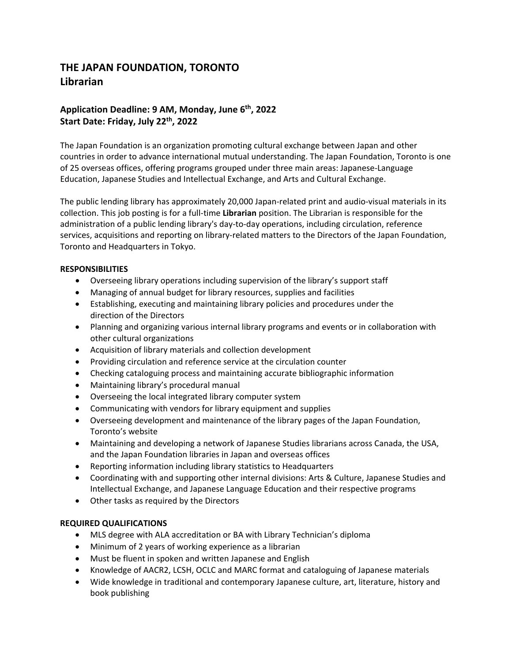# **THE JAPAN FOUNDATION, TORONTO Librarian**

# **Application Deadline: 9 AM, Monday, June 6th, 2022 Start Date: Friday, July 22th, 2022**

The Japan Foundation is an organization promoting cultural exchange between Japan and other countries in order to advance international mutual understanding. The Japan Foundation, Toronto is one of 25 overseas offices, offering programs grouped under three main areas: Japanese-Language Education, Japanese Studies and Intellectual Exchange, and Arts and Cultural Exchange.

The public lending library has approximately 20,000 Japan-related print and audio-visual materials in its collection. This job posting is for a full-time **Librarian** position. The Librarian is responsible for the administration of a public lending library's day-to-day operations, including circulation, reference services, acquisitions and reporting on library-related matters to the Directors of the Japan Foundation, Toronto and Headquarters in Tokyo.

# **RESPONSIBILITIES**

- Overseeing library operations including supervision of the library's support staff
- Managing of annual budget for library resources, supplies and facilities
- Establishing, executing and maintaining library policies and procedures under the direction of the Directors
- Planning and organizing various internal library programs and events or in collaboration with other cultural organizations
- Acquisition of library materials and collection development
- Providing circulation and reference service at the circulation counter
- Checking cataloguing process and maintaining accurate bibliographic information
- Maintaining library's procedural manual
- Overseeing the local integrated library computer system
- Communicating with vendors for library equipment and supplies
- Overseeing development and maintenance of the library pages of the Japan Foundation, Toronto's website
- Maintaining and developing a network of Japanese Studies librarians across Canada, the USA, and the Japan Foundation libraries in Japan and overseas offices
- Reporting information including library statistics to Headquarters
- Coordinating with and supporting other internal divisions: Arts & Culture, Japanese Studies and Intellectual Exchange, and Japanese Language Education and their respective programs
- Other tasks as required by the Directors

# **REQUIRED QUALIFICATIONS**

- MLS degree with ALA accreditation or BA with Library Technician's diploma
- Minimum of 2 years of working experience as a librarian
- Must be fluent in spoken and written Japanese and English
- Knowledge of AACR2, LCSH, OCLC and MARC format and cataloguing of Japanese materials
- Wide knowledge in traditional and contemporary Japanese culture, art, literature, history and book publishing